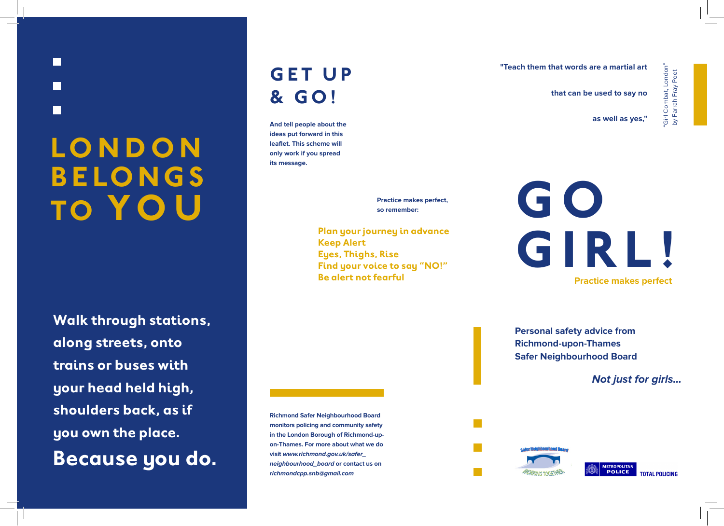# **LO N D O N B E LO N G S TO YOU**

H

M

**Walk through stations, along streets, onto trains or buses with your head held high, shoulders back, as if you own the place. Because you do.**

# **GET UP & GO!**

**And tell people about the ideas put forward in this leaflet. This scheme will only work if you spread its message.**

> **Practice makes perfect, so remember:**

**Plan your journey in advance Keep Alert Eyes, Thighs, Rise Find your voice to say "NO!" Be alert not fearful**

**"Teach them that words are a martial art** 

**that can be used to say no**

**as well as yes,"**

"Girl Combat, London" by Farrah Fray Poet

irl Combat, London'<br>/ Farrah Fray Poet

Girl<br>by Fi

**G O GIRL! Practice makes perfect**

**Personal safety advice from Richmond-upon-Thames Safer Neighbourhood Board**

**Not just for girls...**

**Richmond Safer Neighbourhood Board monitors policing and community safety in the London Borough of Richmond-upon-Thames. For more about what we do visit www.richmond.gov.uk/safer\_ neighbourhood\_board or contact us on richmondcpp.snb@gmail.com**

**METROPOLITAN POLICE**